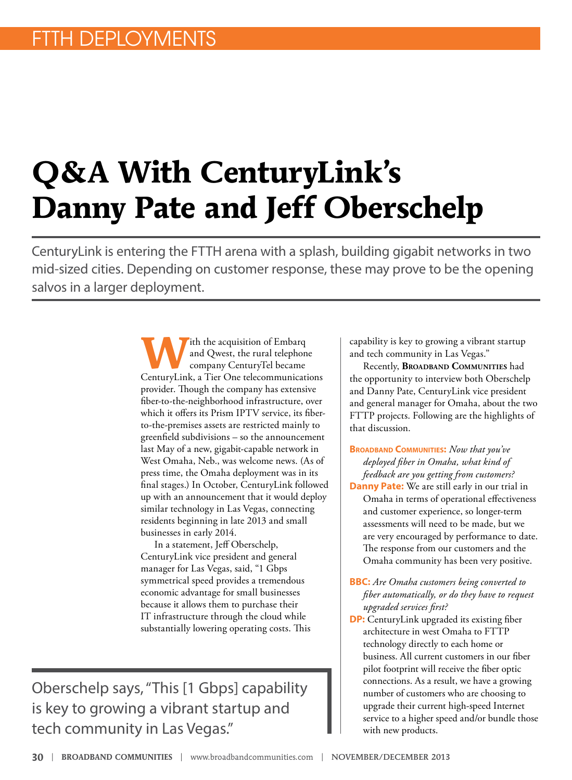## **Q&A With CenturyLink's Danny Pate and Jeff Oberschelp**

CenturyLink is entering the FTTH arena with a splash, building gigabit networks in two mid-sized cities. Depending on customer response, these may prove to be the opening salvos in a larger deployment.

> **W**ith the acquisition of Embarq<br>and Qwest, the rural telephon<br>ConturyTel became and Qwest, the rural telephone company CenturyTel became CenturyLink, a Tier One telecommunications provider. Though the company has extensive fiber-to-the-neighborhood infrastructure, over which it offers its Prism IPTV service, its fiberto-the-premises assets are restricted mainly to greenfield subdivisions – so the announcement last May of a new, gigabit-capable network in West Omaha, Neb., was welcome news. (As of press time, the Omaha deployment was in its final stages.) In October, CenturyLink followed up with an announcement that it would deploy similar technology in Las Vegas, connecting residents beginning in late 2013 and small businesses in early 2014.

In a statement, Jeff Oberschelp, CenturyLink vice president and general manager for Las Vegas, said, "1 Gbps symmetrical speed provides a tremendous economic advantage for small businesses because it allows them to purchase their IT infrastructure through the cloud while substantially lowering operating costs. This

Oberschelp says, "This [1 Gbps] capability is key to growing a vibrant startup and tech community in Las Vegas."

capability is key to growing a vibrant startup and tech community in Las Vegas."

Recently, **Broadband Communities** had the opportunity to interview both Oberschelp and Danny Pate, CenturyLink vice president and general manager for Omaha, about the two FTTP projects. Following are the highlights of that discussion.

**Broadband Communities:** *Now that you've deployed fiber in Omaha, what kind of feedback are you getting from customers?*  **Danny Pate:** We are still early in our trial in Omaha in terms of operational effectiveness and customer experience, so longer-term assessments will need to be made, but we are very encouraged by performance to date.

**BBC:** *Are Omaha customers being converted to fiber automatically, or do they have to request upgraded services first?* 

The response from our customers and the Omaha community has been very positive.

**DP:** CenturyLink upgraded its existing fiber architecture in west Omaha to FTTP technology directly to each home or business. All current customers in our fiber pilot footprint will receive the fiber optic connections. As a result, we have a growing number of customers who are choosing to upgrade their current high-speed Internet service to a higher speed and/or bundle those with new products.